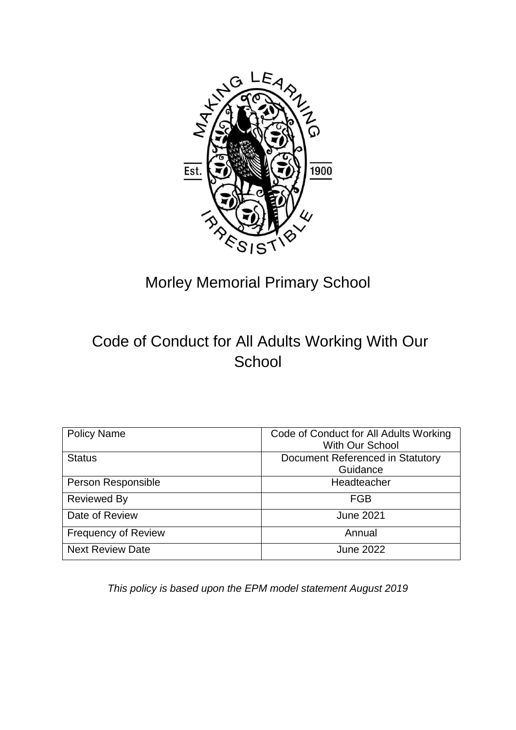

# Morley Memorial Primary School

# Code of Conduct for All Adults Working With Our **School**

| <b>Policy Name</b>         | Code of Conduct for All Adults Working |
|----------------------------|----------------------------------------|
|                            | <b>With Our School</b>                 |
| <b>Status</b>              | Document Referenced in Statutory       |
|                            | Guidance                               |
| Person Responsible         | Headteacher                            |
| <b>Reviewed By</b>         | FGB                                    |
| Date of Review             | <b>June 2021</b>                       |
| <b>Frequency of Review</b> | Annual                                 |
| <b>Next Review Date</b>    | <b>June 2022</b>                       |

*This policy is based upon the EPM model statement August 2019*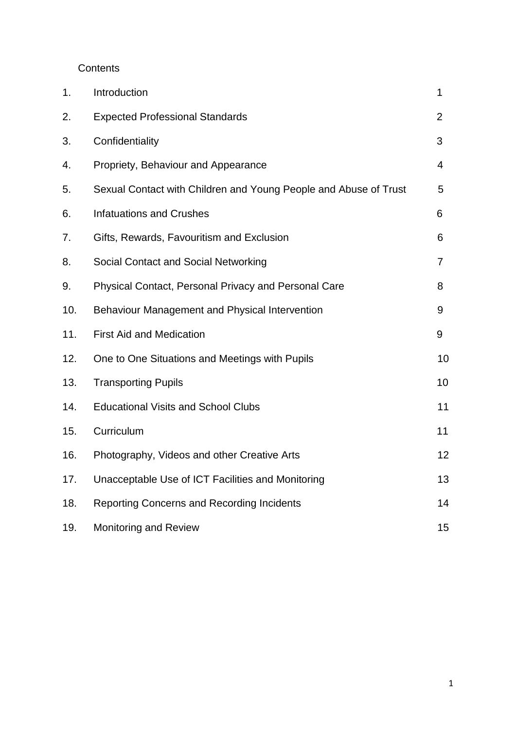**Contents** 

| 1.  | Introduction                                                     | 1              |
|-----|------------------------------------------------------------------|----------------|
| 2.  | <b>Expected Professional Standards</b>                           | $\overline{2}$ |
| 3.  | Confidentiality                                                  | 3              |
| 4.  | Propriety, Behaviour and Appearance                              | $\overline{4}$ |
| 5.  | Sexual Contact with Children and Young People and Abuse of Trust | 5              |
| 6.  | <b>Infatuations and Crushes</b>                                  | 6              |
| 7.  | Gifts, Rewards, Favouritism and Exclusion                        | 6              |
| 8.  | Social Contact and Social Networking                             | 7              |
| 9.  | Physical Contact, Personal Privacy and Personal Care             | 8              |
| 10. | Behaviour Management and Physical Intervention                   | 9              |
| 11. | <b>First Aid and Medication</b>                                  | 9              |
| 12. | One to One Situations and Meetings with Pupils                   | 10             |
| 13. | <b>Transporting Pupils</b>                                       | 10             |
| 14. | <b>Educational Visits and School Clubs</b>                       | 11             |
| 15. | Curriculum                                                       | 11             |
| 16. | Photography, Videos and other Creative Arts                      | 12             |
| 17. | Unacceptable Use of ICT Facilities and Monitoring                | 13             |
| 18. | Reporting Concerns and Recording Incidents                       | 14             |
| 19. | <b>Monitoring and Review</b>                                     | 15             |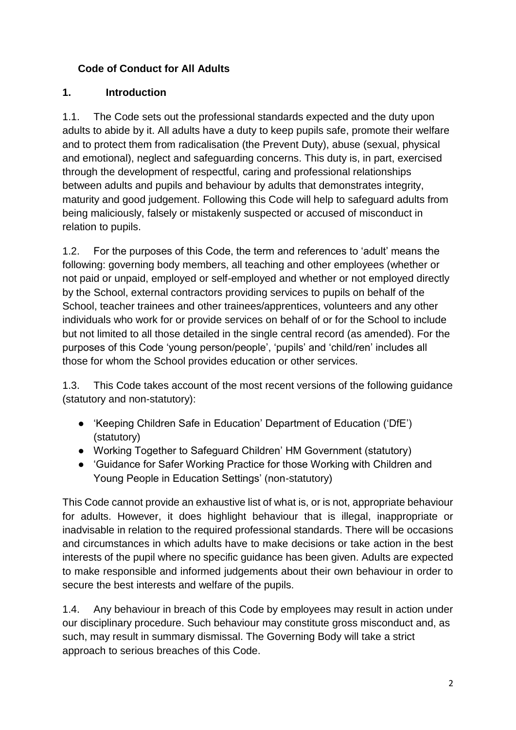## **Code of Conduct for All Adults**

## **1. Introduction**

1.1. The Code sets out the professional standards expected and the duty upon adults to abide by it. All adults have a duty to keep pupils safe, promote their welfare and to protect them from radicalisation (the Prevent Duty), abuse (sexual, physical and emotional), neglect and safeguarding concerns. This duty is, in part, exercised through the development of respectful, caring and professional relationships between adults and pupils and behaviour by adults that demonstrates integrity, maturity and good judgement. Following this Code will help to safeguard adults from being maliciously, falsely or mistakenly suspected or accused of misconduct in relation to pupils.

1.2. For the purposes of this Code, the term and references to 'adult' means the following: governing body members, all teaching and other employees (whether or not paid or unpaid, employed or self-employed and whether or not employed directly by the School, external contractors providing services to pupils on behalf of the School, teacher trainees and other trainees/apprentices, volunteers and any other individuals who work for or provide services on behalf of or for the School to include but not limited to all those detailed in the single central record (as amended). For the purposes of this Code 'young person/people', 'pupils' and 'child/ren' includes all those for whom the School provides education or other services.

1.3. This Code takes account of the most recent versions of the following guidance (statutory and non-statutory):

- 'Keeping Children Safe in Education' Department of Education ('DfE') (statutory)
- Working Together to Safeguard Children' HM Government (statutory)
- 'Guidance for Safer Working Practice for those Working with Children and Young People in Education Settings' (non-statutory)

This Code cannot provide an exhaustive list of what is, or is not, appropriate behaviour for adults. However, it does highlight behaviour that is illegal, inappropriate or inadvisable in relation to the required professional standards. There will be occasions and circumstances in which adults have to make decisions or take action in the best interests of the pupil where no specific guidance has been given. Adults are expected to make responsible and informed judgements about their own behaviour in order to secure the best interests and welfare of the pupils.

1.4. Any behaviour in breach of this Code by employees may result in action under our disciplinary procedure. Such behaviour may constitute gross misconduct and, as such, may result in summary dismissal. The Governing Body will take a strict approach to serious breaches of this Code.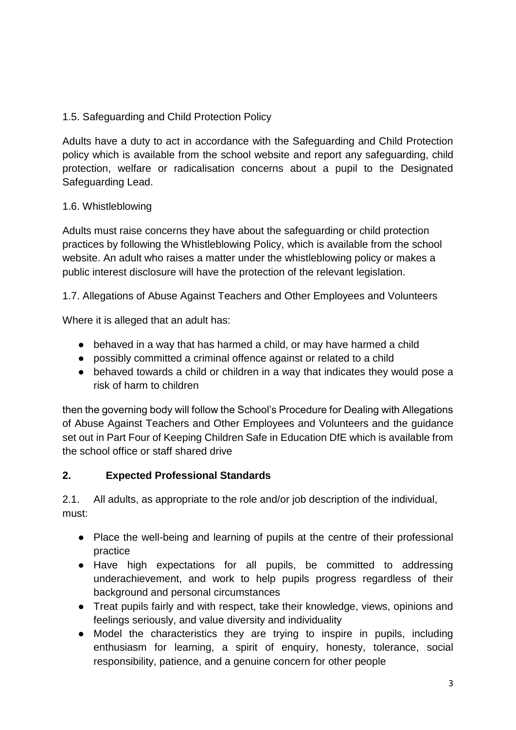## 1.5. Safeguarding and Child Protection Policy

Adults have a duty to act in accordance with the Safeguarding and Child Protection policy which is available from the school website and report any safeguarding, child protection, welfare or radicalisation concerns about a pupil to the Designated Safeguarding Lead.

#### 1.6. Whistleblowing

Adults must raise concerns they have about the safeguarding or child protection practices by following the Whistleblowing Policy, which is available from the school website. An adult who raises a matter under the whistleblowing policy or makes a public interest disclosure will have the protection of the relevant legislation.

1.7. Allegations of Abuse Against Teachers and Other Employees and Volunteers

Where it is alleged that an adult has:

- behaved in a way that has harmed a child, or may have harmed a child
- possibly committed a criminal offence against or related to a child
- behaved towards a child or children in a way that indicates they would pose a risk of harm to children

then the governing body will follow the School's Procedure for Dealing with Allegations of Abuse Against Teachers and Other Employees and Volunteers and the guidance set out in Part Four of Keeping Children Safe in Education DfE which is available from the school office or staff shared drive

## **2. Expected Professional Standards**

2.1. All adults, as appropriate to the role and/or job description of the individual, must:

- Place the well-being and learning of pupils at the centre of their professional practice
- Have high expectations for all pupils, be committed to addressing underachievement, and work to help pupils progress regardless of their background and personal circumstances
- Treat pupils fairly and with respect, take their knowledge, views, opinions and feelings seriously, and value diversity and individuality
- Model the characteristics they are trying to inspire in pupils, including enthusiasm for learning, a spirit of enquiry, honesty, tolerance, social responsibility, patience, and a genuine concern for other people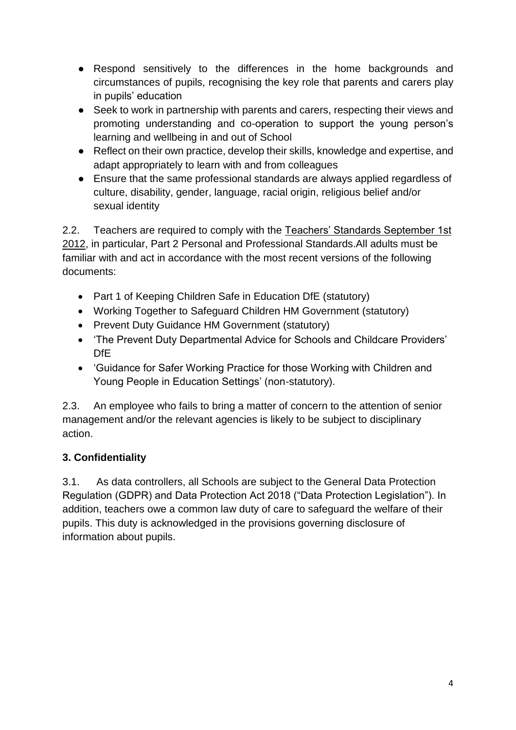- Respond sensitively to the differences in the home backgrounds and circumstances of pupils, recognising the key role that parents and carers play in pupils' education
- Seek to work in partnership with parents and carers, respecting their views and promoting understanding and co-operation to support the young person's learning and wellbeing in and out of School
- Reflect on their own practice, develop their skills, knowledge and expertise, and adapt appropriately to learn with and from colleagues
- Ensure that the same professional standards are always applied regardless of culture, disability, gender, language, racial origin, religious belief and/or sexual identity

2.2. Teachers are required to comply with th[e](https://www.gov.uk/government/uploads/system/uploads/attachment_data/file/301107/Teachers__Standards.pdf) [Teachers' Standards September 1st](https://www.gov.uk/government/uploads/system/uploads/attachment_data/file/301107/Teachers__Standards.pdf)  [2012,](https://www.gov.uk/government/uploads/system/uploads/attachment_data/file/301107/Teachers__Standards.pdf) in particular, Part 2 Personal and Professional Standards.All adults must be familiar with and act in accordance with the most recent versions of the following documents:

- Part 1 of Keeping Children Safe in Education DfE (statutory)
- Working Together to Safeguard Children HM Government (statutory)
- Prevent Duty Guidance HM Government (statutory)
- 'The Prevent Duty Departmental Advice for Schools and Childcare Providers' DfE
- 'Guidance for Safer Working Practice for those Working with Children and Young People in Education Settings' (non-statutory).

2.3. An employee who fails to bring a matter of concern to the attention of senior management and/or the relevant agencies is likely to be subject to disciplinary action.

## **3. Confidentiality**

3.1. As data controllers, all Schools are subject to the General Data Protection Regulation (GDPR) and Data Protection Act 2018 ("Data Protection Legislation"). In addition, teachers owe a common law duty of care to safeguard the welfare of their pupils. This duty is acknowledged in the provisions governing disclosure of information about pupils.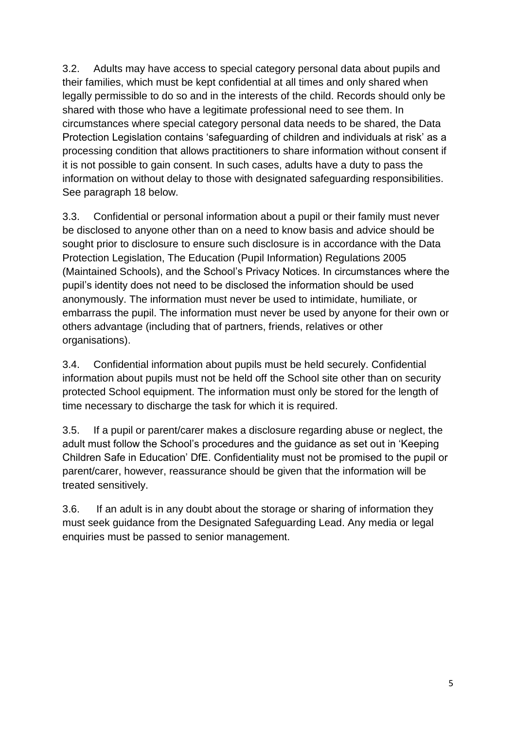3.2. Adults may have access to special category personal data about pupils and their families, which must be kept confidential at all times and only shared when legally permissible to do so and in the interests of the child. Records should only be shared with those who have a legitimate professional need to see them. In circumstances where special category personal data needs to be shared, the Data Protection Legislation contains 'safeguarding of children and individuals at risk' as a processing condition that allows practitioners to share information without consent if it is not possible to gain consent. In such cases, adults have a duty to pass the information on without delay to those with designated safeguarding responsibilities. See paragraph 18 below.

3.3. Confidential or personal information about a pupil or their family must never be disclosed to anyone other than on a need to know basis and advice should be sought prior to disclosure to ensure such disclosure is in accordance with the Data Protection Legislation, The Education (Pupil Information) Regulations 2005 (Maintained Schools), and the School's Privacy Notices. In circumstances where the pupil's identity does not need to be disclosed the information should be used anonymously. The information must never be used to intimidate, humiliate, or embarrass the pupil. The information must never be used by anyone for their own or others advantage (including that of partners, friends, relatives or other organisations).

3.4. Confidential information about pupils must be held securely. Confidential information about pupils must not be held off the School site other than on security protected School equipment. The information must only be stored for the length of time necessary to discharge the task for which it is required.

3.5. If a pupil or parent/carer makes a disclosure regarding abuse or neglect, the adult must follow the School's procedures and the guidance as set out in 'Keeping Children Safe in Education' DfE. Confidentiality must not be promised to the pupil or parent/carer, however, reassurance should be given that the information will be treated sensitively.

3.6. If an adult is in any doubt about the storage or sharing of information they must seek guidance from the Designated Safeguarding Lead. Any media or legal enquiries must be passed to senior management.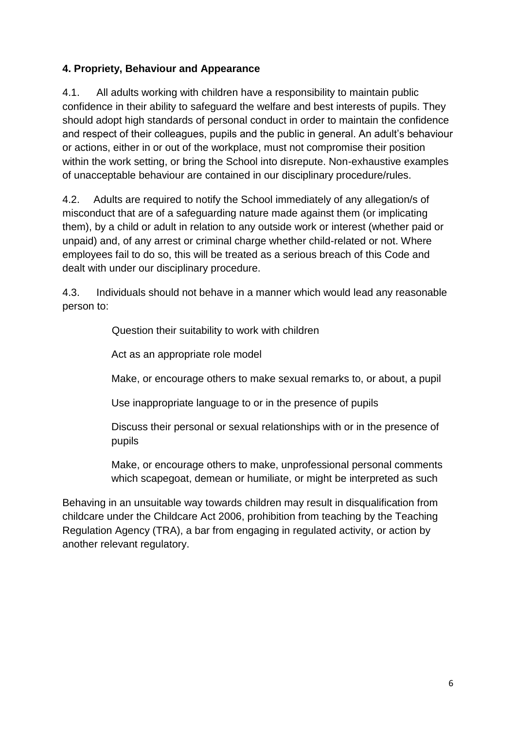## **4. Propriety, Behaviour and Appearance**

4.1. All adults working with children have a responsibility to maintain public confidence in their ability to safeguard the welfare and best interests of pupils. They should adopt high standards of personal conduct in order to maintain the confidence and respect of their colleagues, pupils and the public in general. An adult's behaviour or actions, either in or out of the workplace, must not compromise their position within the work setting, or bring the School into disrepute. Non-exhaustive examples of unacceptable behaviour are contained in our disciplinary procedure/rules.

4.2. Adults are required to notify the School immediately of any allegation/s of misconduct that are of a safeguarding nature made against them (or implicating them), by a child or adult in relation to any outside work or interest (whether paid or unpaid) and, of any arrest or criminal charge whether child-related or not. Where employees fail to do so, this will be treated as a serious breach of this Code and dealt with under our disciplinary procedure.

4.3. Individuals should not behave in a manner which would lead any reasonable person to:

Question their suitability to work with children

Act as an appropriate role model

Make, or encourage others to make sexual remarks to, or about, a pupil

Use inappropriate language to or in the presence of pupils

Discuss their personal or sexual relationships with or in the presence of pupils

Make, or encourage others to make, unprofessional personal comments which scapegoat, demean or humiliate, or might be interpreted as such

Behaving in an unsuitable way towards children may result in disqualification from childcare under the Childcare Act 2006, prohibition from teaching by the Teaching Regulation Agency (TRA), a bar from engaging in regulated activity, or action by another relevant regulatory.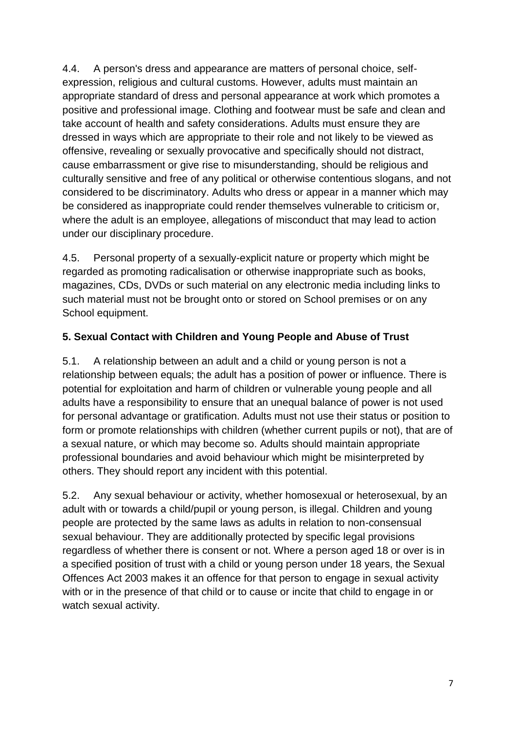4.4. A person's dress and appearance are matters of personal choice, selfexpression, religious and cultural customs. However, adults must maintain an appropriate standard of dress and personal appearance at work which promotes a positive and professional image. Clothing and footwear must be safe and clean and take account of health and safety considerations. Adults must ensure they are dressed in ways which are appropriate to their role and not likely to be viewed as offensive, revealing or sexually provocative and specifically should not distract, cause embarrassment or give rise to misunderstanding, should be religious and culturally sensitive and free of any political or otherwise contentious slogans, and not considered to be discriminatory. Adults who dress or appear in a manner which may be considered as inappropriate could render themselves vulnerable to criticism or, where the adult is an employee, allegations of misconduct that may lead to action under our disciplinary procedure.

4.5. Personal property of a sexually-explicit nature or property which might be regarded as promoting radicalisation or otherwise inappropriate such as books, magazines, CDs, DVDs or such material on any electronic media including links to such material must not be brought onto or stored on School premises or on any School equipment.

## **5. Sexual Contact with Children and Young People and Abuse of Trust**

5.1. A relationship between an adult and a child or young person is not a relationship between equals; the adult has a position of power or influence. There is potential for exploitation and harm of children or vulnerable young people and all adults have a responsibility to ensure that an unequal balance of power is not used for personal advantage or gratification. Adults must not use their status or position to form or promote relationships with children (whether current pupils or not), that are of a sexual nature, or which may become so. Adults should maintain appropriate professional boundaries and avoid behaviour which might be misinterpreted by others. They should report any incident with this potential.

5.2. Any sexual behaviour or activity, whether homosexual or heterosexual, by an adult with or towards a child/pupil or young person, is illegal. Children and young people are protected by the same laws as adults in relation to non-consensual sexual behaviour. They are additionally protected by specific legal provisions regardless of whether there is consent or not. Where a person aged 18 or over is in a specified position of trust with a child or young person under 18 years, the Sexual Offences Act 2003 makes it an offence for that person to engage in sexual activity with or in the presence of that child or to cause or incite that child to engage in or watch sexual activity.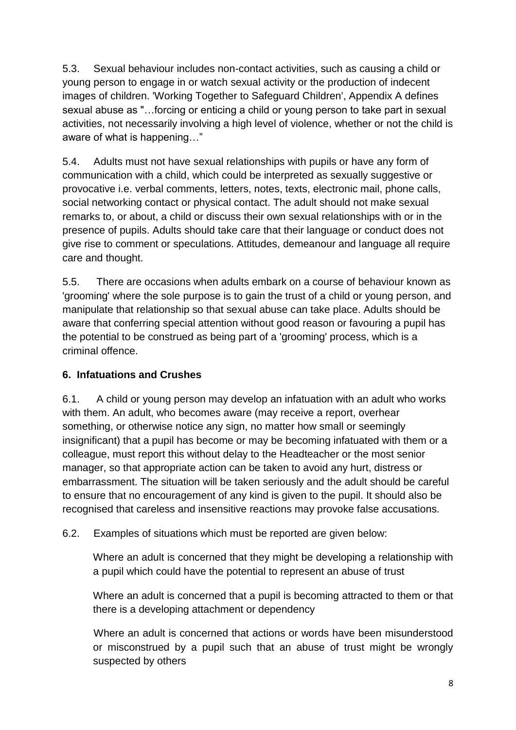5.3. Sexual behaviour includes non-contact activities, such as causing a child or young person to engage in or watch sexual activity or the production of indecent images of children. 'Working Together to Safeguard Children', Appendix A defines sexual abuse as "…forcing or enticing a child or young person to take part in sexual activities, not necessarily involving a high level of violence, whether or not the child is aware of what is happening…"

5.4. Adults must not have sexual relationships with pupils or have any form of communication with a child, which could be interpreted as sexually suggestive or provocative i.e. verbal comments, letters, notes, texts, electronic mail, phone calls, social networking contact or physical contact. The adult should not make sexual remarks to, or about, a child or discuss their own sexual relationships with or in the presence of pupils. Adults should take care that their language or conduct does not give rise to comment or speculations. Attitudes, demeanour and language all require care and thought.

5.5. There are occasions when adults embark on a course of behaviour known as 'grooming' where the sole purpose is to gain the trust of a child or young person, and manipulate that relationship so that sexual abuse can take place. Adults should be aware that conferring special attention without good reason or favouring a pupil has the potential to be construed as being part of a 'grooming' process, which is a criminal offence.

## **6. Infatuations and Crushes**

6.1. A child or young person may develop an infatuation with an adult who works with them. An adult, who becomes aware (may receive a report, overhear something, or otherwise notice any sign, no matter how small or seemingly insignificant) that a pupil has become or may be becoming infatuated with them or a colleague, must report this without delay to the Headteacher or the most senior manager, so that appropriate action can be taken to avoid any hurt, distress or embarrassment. The situation will be taken seriously and the adult should be careful to ensure that no encouragement of any kind is given to the pupil. It should also be recognised that careless and insensitive reactions may provoke false accusations.

6.2. Examples of situations which must be reported are given below:

Where an adult is concerned that they might be developing a relationship with a pupil which could have the potential to represent an abuse of trust

Where an adult is concerned that a pupil is becoming attracted to them or that there is a developing attachment or dependency

Where an adult is concerned that actions or words have been misunderstood or misconstrued by a pupil such that an abuse of trust might be wrongly suspected by others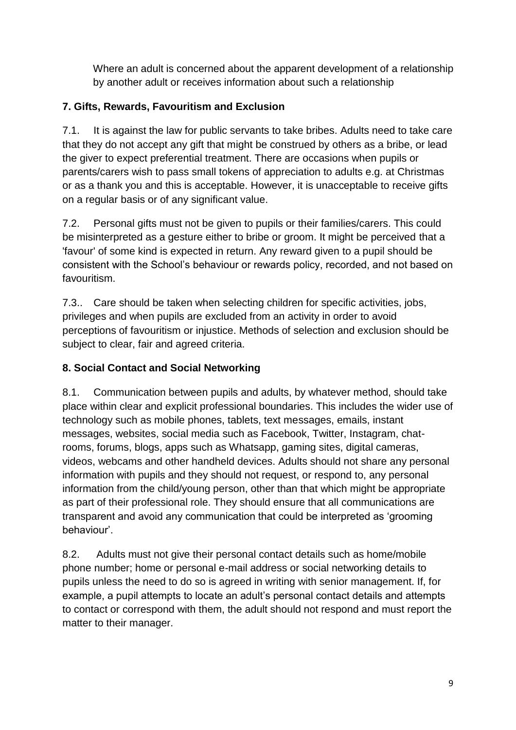Where an adult is concerned about the apparent development of a relationship by another adult or receives information about such a relationship

## **7. Gifts, Rewards, Favouritism and Exclusion**

7.1. It is against the law for public servants to take bribes. Adults need to take care that they do not accept any gift that might be construed by others as a bribe, or lead the giver to expect preferential treatment. There are occasions when pupils or parents/carers wish to pass small tokens of appreciation to adults e.g. at Christmas or as a thank you and this is acceptable. However, it is unacceptable to receive gifts on a regular basis or of any significant value.

7.2. Personal gifts must not be given to pupils or their families/carers. This could be misinterpreted as a gesture either to bribe or groom. It might be perceived that a 'favour' of some kind is expected in return. Any reward given to a pupil should be consistent with the School's behaviour or rewards policy, recorded, and not based on favouritism.

7.3.. Care should be taken when selecting children for specific activities, jobs, privileges and when pupils are excluded from an activity in order to avoid perceptions of favouritism or injustice. Methods of selection and exclusion should be subject to clear, fair and agreed criteria.

## **8. Social Contact and Social Networking**

8.1. Communication between pupils and adults, by whatever method, should take place within clear and explicit professional boundaries. This includes the wider use of technology such as mobile phones, tablets, text messages, emails, instant messages, websites, social media such as Facebook, Twitter, Instagram, chatrooms, forums, blogs, apps such as Whatsapp, gaming sites, digital cameras, videos, webcams and other handheld devices. Adults should not share any personal information with pupils and they should not request, or respond to, any personal information from the child/young person, other than that which might be appropriate as part of their professional role. They should ensure that all communications are transparent and avoid any communication that could be interpreted as 'grooming behaviour'.

8.2. Adults must not give their personal contact details such as home/mobile phone number; home or personal e-mail address or social networking details to pupils unless the need to do so is agreed in writing with senior management. If, for example, a pupil attempts to locate an adult's personal contact details and attempts to contact or correspond with them, the adult should not respond and must report the matter to their manager.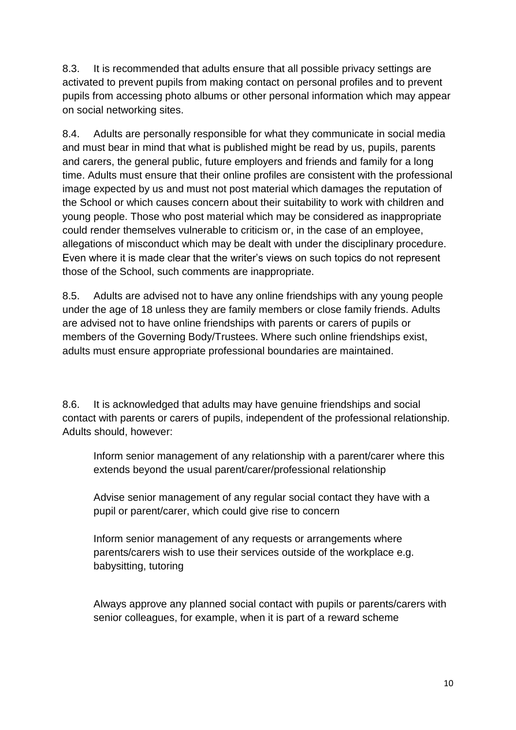8.3. It is recommended that adults ensure that all possible privacy settings are activated to prevent pupils from making contact on personal profiles and to prevent pupils from accessing photo albums or other personal information which may appear on social networking sites.

8.4. Adults are personally responsible for what they communicate in social media and must bear in mind that what is published might be read by us, pupils, parents and carers, the general public, future employers and friends and family for a long time. Adults must ensure that their online profiles are consistent with the professional image expected by us and must not post material which damages the reputation of the School or which causes concern about their suitability to work with children and young people. Those who post material which may be considered as inappropriate could render themselves vulnerable to criticism or, in the case of an employee, allegations of misconduct which may be dealt with under the disciplinary procedure. Even where it is made clear that the writer's views on such topics do not represent those of the School, such comments are inappropriate.

8.5. Adults are advised not to have any online friendships with any young people under the age of 18 unless they are family members or close family friends. Adults are advised not to have online friendships with parents or carers of pupils or members of the Governing Body/Trustees. Where such online friendships exist, adults must ensure appropriate professional boundaries are maintained.

8.6. It is acknowledged that adults may have genuine friendships and social contact with parents or carers of pupils, independent of the professional relationship. Adults should, however:

Inform senior management of any relationship with a parent/carer where this extends beyond the usual parent/carer/professional relationship

Advise senior management of any regular social contact they have with a pupil or parent/carer, which could give rise to concern

Inform senior management of any requests or arrangements where parents/carers wish to use their services outside of the workplace e.g. babysitting, tutoring

Always approve any planned social contact with pupils or parents/carers with senior colleagues, for example, when it is part of a reward scheme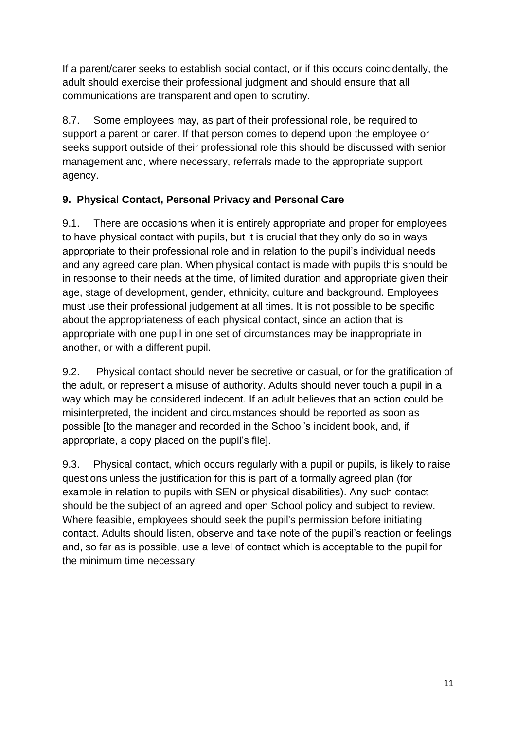If a parent/carer seeks to establish social contact, or if this occurs coincidentally, the adult should exercise their professional judgment and should ensure that all communications are transparent and open to scrutiny.

8.7. Some employees may, as part of their professional role, be required to support a parent or carer. If that person comes to depend upon the employee or seeks support outside of their professional role this should be discussed with senior management and, where necessary, referrals made to the appropriate support agency.

## **9. Physical Contact, Personal Privacy and Personal Care**

9.1. There are occasions when it is entirely appropriate and proper for employees to have physical contact with pupils, but it is crucial that they only do so in ways appropriate to their professional role and in relation to the pupil's individual needs and any agreed care plan. When physical contact is made with pupils this should be in response to their needs at the time, of limited duration and appropriate given their age, stage of development, gender, ethnicity, culture and background. Employees must use their professional judgement at all times. It is not possible to be specific about the appropriateness of each physical contact, since an action that is appropriate with one pupil in one set of circumstances may be inappropriate in another, or with a different pupil.

9.2. Physical contact should never be secretive or casual, or for the gratification of the adult, or represent a misuse of authority. Adults should never touch a pupil in a way which may be considered indecent. If an adult believes that an action could be misinterpreted, the incident and circumstances should be reported as soon as possible [to the manager and recorded in the School's incident book, and, if appropriate, a copy placed on the pupil's file].

9.3. Physical contact, which occurs regularly with a pupil or pupils, is likely to raise questions unless the justification for this is part of a formally agreed plan (for example in relation to pupils with SEN or physical disabilities). Any such contact should be the subject of an agreed and open School policy and subject to review. Where feasible, employees should seek the pupil's permission before initiating contact. Adults should listen, observe and take note of the pupil's reaction or feelings and, so far as is possible, use a level of contact which is acceptable to the pupil for the minimum time necessary.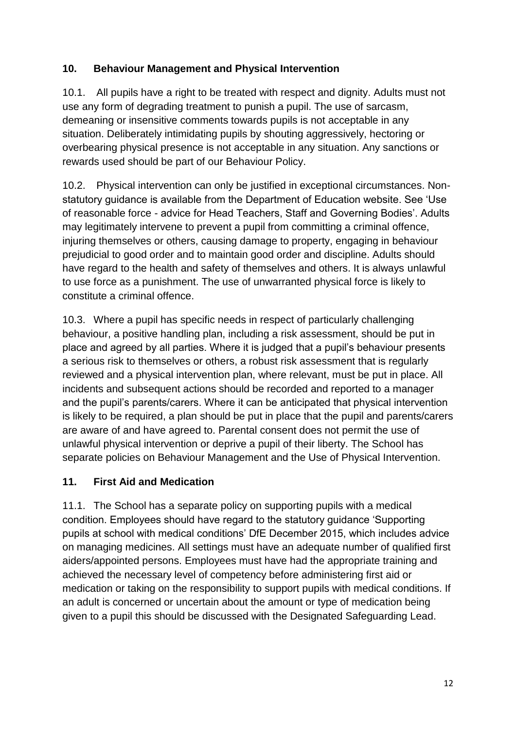## **10. Behaviour Management and Physical Intervention**

10.1. All pupils have a right to be treated with respect and dignity. Adults must not use any form of degrading treatment to punish a pupil. The use of sarcasm, demeaning or insensitive comments towards pupils is not acceptable in any situation. Deliberately intimidating pupils by shouting aggressively, hectoring or overbearing physical presence is not acceptable in any situation. Any sanctions or rewards used should be part of our Behaviour Policy.

10.2. Physical intervention can only be justified in exceptional circumstances. Nonstatutory guidance is available from the Department of Education website. See 'Use of reasonable force - advice for Head Teachers, Staff and Governing Bodies'. Adults may legitimately intervene to prevent a pupil from committing a criminal offence, injuring themselves or others, causing damage to property, engaging in behaviour prejudicial to good order and to maintain good order and discipline. Adults should have regard to the health and safety of themselves and others. It is always unlawful to use force as a punishment. The use of unwarranted physical force is likely to constitute a criminal offence.

10.3. Where a pupil has specific needs in respect of particularly challenging behaviour, a positive handling plan, including a risk assessment, should be put in place and agreed by all parties. Where it is judged that a pupil's behaviour presents a serious risk to themselves or others, a robust risk assessment that is regularly reviewed and a physical intervention plan, where relevant, must be put in place. All incidents and subsequent actions should be recorded and reported to a manager and the pupil's parents/carers. Where it can be anticipated that physical intervention is likely to be required, a plan should be put in place that the pupil and parents/carers are aware of and have agreed to. Parental consent does not permit the use of unlawful physical intervention or deprive a pupil of their liberty. The School has separate policies on Behaviour Management and the Use of Physical Intervention.

#### **11. First Aid and Medication**

11.1. The School has a separate policy on supporting pupils with a medical condition. Employees should have regard to the statutory guidance 'Supporting pupils at school with medical conditions' DfE December 2015, which includes advice on managing medicines. All settings must have an adequate number of qualified first aiders/appointed persons. Employees must have had the appropriate training and achieved the necessary level of competency before administering first aid or medication or taking on the responsibility to support pupils with medical conditions. If an adult is concerned or uncertain about the amount or type of medication being given to a pupil this should be discussed with the Designated Safeguarding Lead.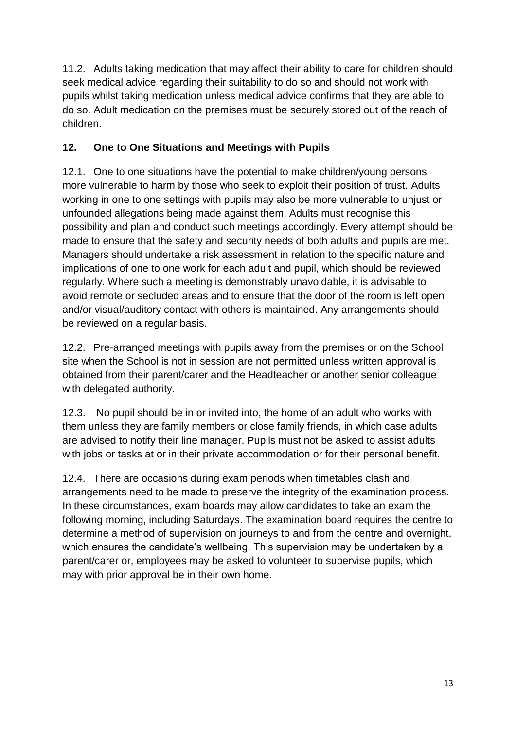11.2. Adults taking medication that may affect their ability to care for children should seek medical advice regarding their suitability to do so and should not work with pupils whilst taking medication unless medical advice confirms that they are able to do so. Adult medication on the premises must be securely stored out of the reach of children.

## **12. One to One Situations and Meetings with Pupils**

12.1. One to one situations have the potential to make children/young persons more vulnerable to harm by those who seek to exploit their position of trust. Adults working in one to one settings with pupils may also be more vulnerable to unjust or unfounded allegations being made against them. Adults must recognise this possibility and plan and conduct such meetings accordingly. Every attempt should be made to ensure that the safety and security needs of both adults and pupils are met. Managers should undertake a risk assessment in relation to the specific nature and implications of one to one work for each adult and pupil, which should be reviewed regularly. Where such a meeting is demonstrably unavoidable, it is advisable to avoid remote or secluded areas and to ensure that the door of the room is left open and/or visual/auditory contact with others is maintained. Any arrangements should be reviewed on a regular basis.

12.2. Pre-arranged meetings with pupils away from the premises or on the School site when the School is not in session are not permitted unless written approval is obtained from their parent/carer and the Headteacher or another senior colleague with delegated authority.

12.3. No pupil should be in or invited into, the home of an adult who works with them unless they are family members or close family friends, in which case adults are advised to notify their line manager. Pupils must not be asked to assist adults with jobs or tasks at or in their private accommodation or for their personal benefit.

12.4. There are occasions during exam periods when timetables clash and arrangements need to be made to preserve the integrity of the examination process. In these circumstances, exam boards may allow candidates to take an exam the following morning, including Saturdays. The examination board requires the centre to determine a method of supervision on journeys to and from the centre and overnight, which ensures the candidate's wellbeing. This supervision may be undertaken by a parent/carer or, employees may be asked to volunteer to supervise pupils, which may with prior approval be in their own home.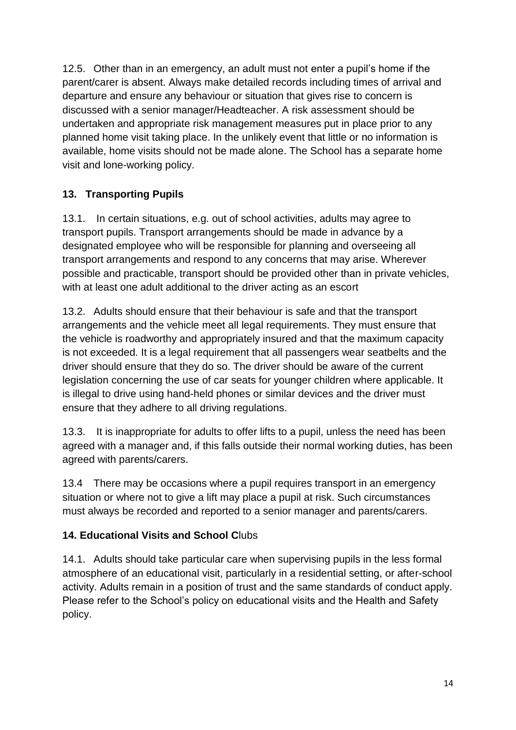12.5. Other than in an emergency, an adult must not enter a pupil's home if the parent/carer is absent. Always make detailed records including times of arrival and departure and ensure any behaviour or situation that gives rise to concern is discussed with a senior manager/Headteacher. A risk assessment should be undertaken and appropriate risk management measures put in place prior to any planned home visit taking place. In the unlikely event that little or no information is available, home visits should not be made alone. The School has a separate home visit and lone-working policy.

## **13. Transporting Pupils**

13.1. In certain situations, e.g. out of school activities, adults may agree to transport pupils. Transport arrangements should be made in advance by a designated employee who will be responsible for planning and overseeing all transport arrangements and respond to any concerns that may arise. Wherever possible and practicable, transport should be provided other than in private vehicles, with at least one adult additional to the driver acting as an escort

13.2. Adults should ensure that their behaviour is safe and that the transport arrangements and the vehicle meet all legal requirements. They must ensure that the vehicle is roadworthy and appropriately insured and that the maximum capacity is not exceeded. It is a legal requirement that all passengers wear seatbelts and the driver should ensure that they do so. The driver should be aware of the current legislation concerning the use of car seats for younger children where applicable. It is illegal to drive using hand-held phones or similar devices and the driver must ensure that they adhere to all driving regulations.

13.3. It is inappropriate for adults to offer lifts to a pupil, unless the need has been agreed with a manager and, if this falls outside their normal working duties, has been agreed with parents/carers.

13.4 There may be occasions where a pupil requires transport in an emergency situation or where not to give a lift may place a pupil at risk. Such circumstances must always be recorded and reported to a senior manager and parents/carers.

## **14. Educational Visits and School C**lubs

14.1. Adults should take particular care when supervising pupils in the less formal atmosphere of an educational visit, particularly in a residential setting, or after-school activity. Adults remain in a position of trust and the same standards of conduct apply. Please refer to the School's policy on educational visits and the Health and Safety policy.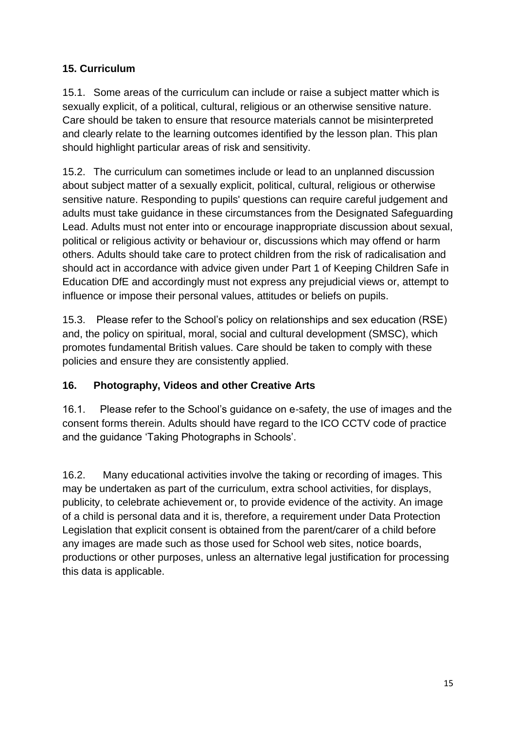## **15. Curriculum**

15.1. Some areas of the curriculum can include or raise a subject matter which is sexually explicit, of a political, cultural, religious or an otherwise sensitive nature. Care should be taken to ensure that resource materials cannot be misinterpreted and clearly relate to the learning outcomes identified by the lesson plan. This plan should highlight particular areas of risk and sensitivity.

15.2. The curriculum can sometimes include or lead to an unplanned discussion about subject matter of a sexually explicit, political, cultural, religious or otherwise sensitive nature. Responding to pupils' questions can require careful judgement and adults must take guidance in these circumstances from the Designated Safeguarding Lead. Adults must not enter into or encourage inappropriate discussion about sexual, political or religious activity or behaviour or, discussions which may offend or harm others. Adults should take care to protect children from the risk of radicalisation and should act in accordance with advice given under Part 1 of Keeping Children Safe in Education DfE and accordingly must not express any prejudicial views or, attempt to influence or impose their personal values, attitudes or beliefs on pupils.

15.3. Please refer to the School's policy on relationships and sex education (RSE) and, the policy on spiritual, moral, social and cultural development (SMSC), which promotes fundamental British values. Care should be taken to comply with these policies and ensure they are consistently applied.

## **16. Photography, Videos and other Creative Arts**

16.1. Please refer to the School's guidance on e-safety, the use of images and the consent forms therein. Adults should have regard to the ICO CCTV code of practice and the guidance 'Taking Photographs in Schools'.

16.2. Many educational activities involve the taking or recording of images. This may be undertaken as part of the curriculum, extra school activities, for displays, publicity, to celebrate achievement or, to provide evidence of the activity. An image of a child is personal data and it is, therefore, a requirement under Data Protection Legislation that explicit consent is obtained from the parent/carer of a child before any images are made such as those used for School web sites, notice boards, productions or other purposes, unless an alternative legal justification for processing this data is applicable.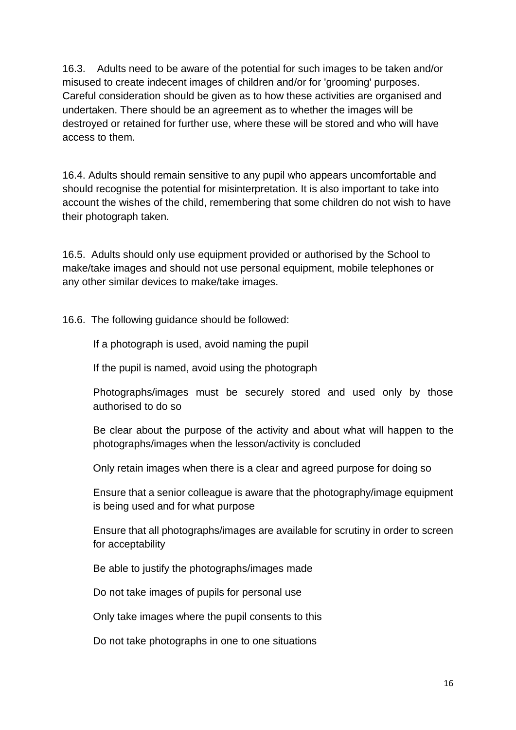16.3. Adults need to be aware of the potential for such images to be taken and/or misused to create indecent images of children and/or for 'grooming' purposes. Careful consideration should be given as to how these activities are organised and undertaken. There should be an agreement as to whether the images will be destroyed or retained for further use, where these will be stored and who will have access to them.

16.4. Adults should remain sensitive to any pupil who appears uncomfortable and should recognise the potential for misinterpretation. It is also important to take into account the wishes of the child, remembering that some children do not wish to have their photograph taken.

16.5. Adults should only use equipment provided or authorised by the School to make/take images and should not use personal equipment, mobile telephones or any other similar devices to make/take images.

16.6. The following guidance should be followed:

If a photograph is used, avoid naming the pupil

If the pupil is named, avoid using the photograph

Photographs/images must be securely stored and used only by those authorised to do so

Be clear about the purpose of the activity and about what will happen to the photographs/images when the lesson/activity is concluded

Only retain images when there is a clear and agreed purpose for doing so

Ensure that a senior colleague is aware that the photography/image equipment is being used and for what purpose

Ensure that all photographs/images are available for scrutiny in order to screen for acceptability

Be able to justify the photographs/images made

Do not take images of pupils for personal use

Only take images where the pupil consents to this

Do not take photographs in one to one situations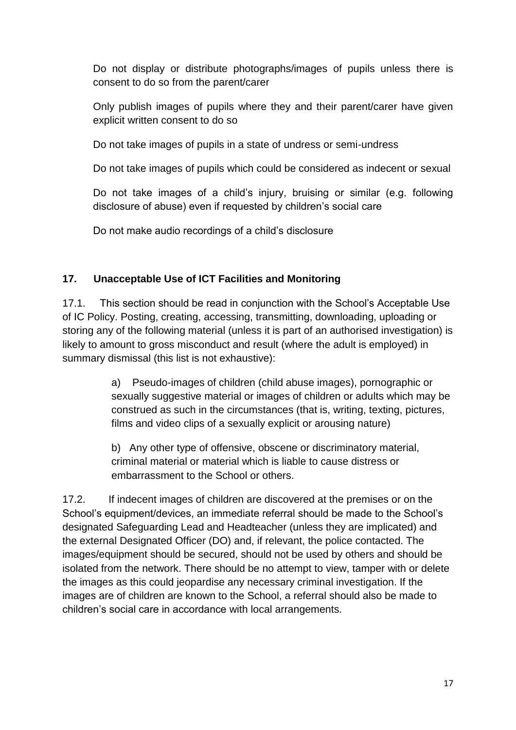Do not display or distribute photographs/images of pupils unless there is consent to do so from the parent/carer

Only publish images of pupils where they and their parent/carer have given explicit written consent to do so

Do not take images of pupils in a state of undress or semi-undress

Do not take images of pupils which could be considered as indecent or sexual

Do not take images of a child's injury, bruising or similar (e.g. following disclosure of abuse) even if requested by children's social care

Do not make audio recordings of a child's disclosure

## **17. Unacceptable Use of ICT Facilities and Monitoring**

17.1. This section should be read in conjunction with the School's Acceptable Use of IC Policy. Posting, creating, accessing, transmitting, downloading, uploading or storing any of the following material (unless it is part of an authorised investigation) is likely to amount to gross misconduct and result (where the adult is employed) in summary dismissal (this list is not exhaustive):

> a) Pseudo-images of children (child abuse images), pornographic or sexually suggestive material or images of children or adults which may be construed as such in the circumstances (that is, writing, texting, pictures, films and video clips of a sexually explicit or arousing nature)

b) Any other type of offensive, obscene or discriminatory material, criminal material or material which is liable to cause distress or embarrassment to the School or others.

17.2. If indecent images of children are discovered at the premises or on the School's equipment/devices, an immediate referral should be made to the School's designated Safeguarding Lead and Headteacher (unless they are implicated) and the external Designated Officer (DO) and, if relevant, the police contacted. The images/equipment should be secured, should not be used by others and should be isolated from the network. There should be no attempt to view, tamper with or delete the images as this could jeopardise any necessary criminal investigation. If the images are of children are known to the School, a referral should also be made to children's social care in accordance with local arrangements.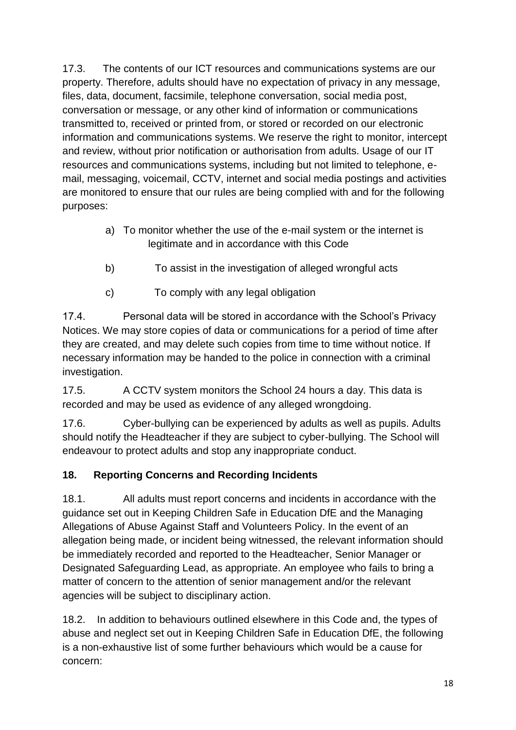17.3. The contents of our ICT resources and communications systems are our property. Therefore, adults should have no expectation of privacy in any message, files, data, document, facsimile, telephone conversation, social media post, conversation or message, or any other kind of information or communications transmitted to, received or printed from, or stored or recorded on our electronic information and communications systems. We reserve the right to monitor, intercept and review, without prior notification or authorisation from adults. Usage of our IT resources and communications systems, including but not limited to telephone, email, messaging, voicemail, CCTV, internet and social media postings and activities are monitored to ensure that our rules are being complied with and for the following purposes:

- a) To monitor whether the use of the e-mail system or the internet is legitimate and in accordance with this Code
- b) To assist in the investigation of alleged wrongful acts
- c) To comply with any legal obligation

17.4. Personal data will be stored in accordance with the School's Privacy Notices. We may store copies of data or communications for a period of time after they are created, and may delete such copies from time to time without notice. If necessary information may be handed to the police in connection with a criminal investigation.

17.5. A CCTV system monitors the School 24 hours a day. This data is recorded and may be used as evidence of any alleged wrongdoing.

17.6. Cyber-bullying can be experienced by adults as well as pupils. Adults should notify the Headteacher if they are subject to cyber-bullying. The School will endeavour to protect adults and stop any inappropriate conduct.

## **18. Reporting Concerns and Recording Incidents**

18.1. All adults must report concerns and incidents in accordance with the guidance set out in Keeping Children Safe in Education DfE and the Managing Allegations of Abuse Against Staff and Volunteers Policy. In the event of an allegation being made, or incident being witnessed, the relevant information should be immediately recorded and reported to the Headteacher, Senior Manager or Designated Safeguarding Lead, as appropriate. An employee who fails to bring a matter of concern to the attention of senior management and/or the relevant agencies will be subject to disciplinary action.

18.2. In addition to behaviours outlined elsewhere in this Code and, the types of abuse and neglect set out in Keeping Children Safe in Education DfE, the following is a non-exhaustive list of some further behaviours which would be a cause for concern: